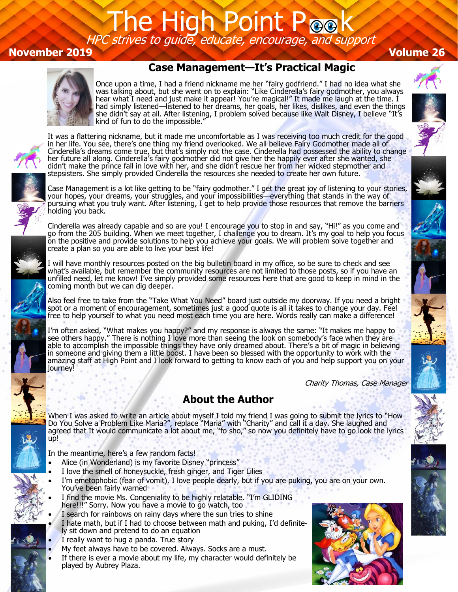## The High Point Pook HPC strives to guide, educate, encourage, and support

#### **November 2019 Volume 26**

### **Case Management—It's Practical Magic**



Once upon a time, I had a friend nickname me her "fairy godfriend." I had no idea what she was talking about, but she went on to explain: "Like Cinderella's fairy godmother, you always hear what I need and just make it appear! You're magical!" It made me laugh at the time. I had simply listened—listened to her dreams, her goals, her likes, dislikes, and even the things she didn't say at all. After listening, I problem solved because like Walt Disney, I believe "It's kind of fun to do the impossible."

It was a flattering nickname, but it made me uncomfortable as I was receiving too much credit for the good in her life. You see, there's one thing my friend overlooked. We all believe Fairy Godmother made all of Cinderella's dreams come true, but that's simply not the case. Cinderella had possessed the ability to change her future all along. Cinderella's fairy godmother did not give her the happily ever after she wanted, she didn't make the prince fall in love with her, and she didn't rescue her from her wicked stepmother and stepsisters. She simply provided Cinderella the resources she needed to create her own future.

Case Management is a lot like getting to be "fairy godmother." I get the great joy of listening to your stories, your hopes, your dreams, your struggles, and your impossibilities—everything that stands in the way of pursuing what you truly want. After listening, I get to help provide those resources that remove the barriers holding you back.

Cinderella was already capable and so are you! I encourage you to stop in and say, "Hi!" as you come and go from the 205 building. When we meet together, I challenge you to dream. It's my goal to help you focus on the positive and provide solutions to help you achieve your goals. We will problem solve together and create a plan so you are able to live your best life!

I will have monthly resources posted on the big bulletin board in my office, so be sure to check and see what's available, but remember the community resources are not limited to those posts, so if you have an unfilled need, let me know! I've simply provided some resources here that are good to keep in mind in the coming month but we can dig deeper.

Also feel free to take from the "Take What You Need" board just outside my doorway. If you need a bright spot or a moment of encouragement, sometimes just a good quote is all it takes to change your day. Feel free to help yourself to what you need most each time you are here. Words really can make a difference!

I'm often asked, "What makes you happy?" and my response is always the same: "It makes me happy to see others happy." There is nothing I love more than seeing the look on somebody's face when they are able to accomplish the impossible things they have only dreamed about. There's a bit of magic in believing in someone and giving them a little boost. I have been so blessed with the opportunity to work with the amazing staff at High Point and I look forward to getting to know each of you and help support you on your journey!

Charity Thomas, Case Manager

#### **About the Author**

When I was asked to write an article about myself I told my friend I was going to submit the lyrics to "How Do You Solve a Problem Like Maria?", replace "Maria" with "Charity" and call it a day. She laughed and agreed that It would communicate a lot about me, "fo sho," so now you definitely have to go look the lyrics up!

In the meantime, here's a few random facts!

- Alice (in Wonderland) is my favorite Disney "princess"
- I love the smell of honeysuckle, fresh ginger, and Tiger Lilies
- I'm emetophobic (fear of vomit). I love people dearly, but if you are puking, you are on your own. You've been fairly warned
- I find the movie Ms. Congeniality to be highly relatable. "I'm GLIDING here!!!" Sorry. Now you have a movie to go watch, too
- I search for rainbows on rainy days where the sun tries to shine
- I hate math, but if I had to choose between math and puking, I'd definitely sit down and pretend to do an equation
- I really want to hug a panda. True story
- My feet always have to be covered. Always. Socks are a must.
- If there is ever a movie about my life, my character would definitely be played by Aubrey Plaza.